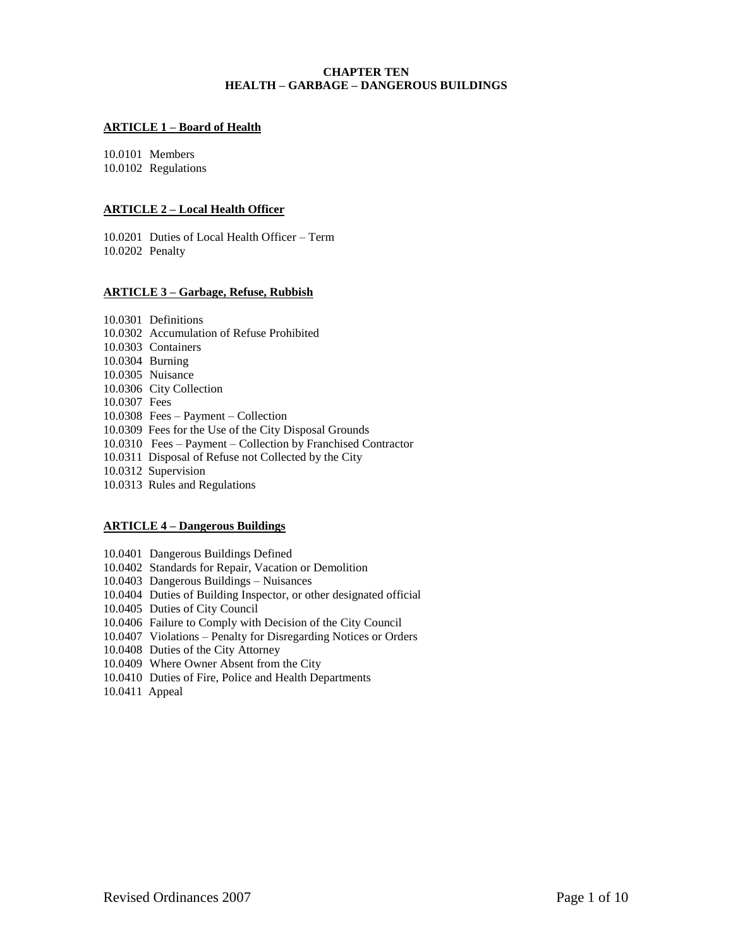# **CHAPTER TEN HEALTH – GARBAGE – DANGEROUS BUILDINGS**

### **ARTICLE 1 – Board of Health**

10.0101 Members 10.0102 Regulations

### **ARTICLE 2 – Local Health Officer**

10.0201 Duties of Local Health Officer – Term 10.0202 Penalty

#### **ARTICLE 3 – Garbage, Refuse, Rubbish**

10.0301 Definitions 10.0302 Accumulation of Refuse Prohibited 10.0303 Containers 10.0304 Burning 10.0305 Nuisance 10.0306 City Collection 10.0307 Fees 10.0308 Fees – Payment – Collection 10.0309 Fees for the Use of the City Disposal Grounds 10.0310 Fees – Payment – Collection by Franchised Contractor 10.0311 Disposal of Refuse not Collected by the City 10.0312 Supervision 10.0313 Rules and Regulations

### **ARTICLE 4 – Dangerous Buildings**

10.0401 Dangerous Buildings Defined 10.0402 Standards for Repair, Vacation or Demolition 10.0403 Dangerous Buildings – Nuisances 10.0404 Duties of Building Inspector, or other designated official 10.0405 Duties of City Council 10.0406 Failure to Comply with Decision of the City Council 10.0407 Violations – Penalty for Disregarding Notices or Orders 10.0408 Duties of the City Attorney

10.0409 Where Owner Absent from the City

- 10.0410 Duties of Fire, Police and Health Departments
- 10.0411 Appeal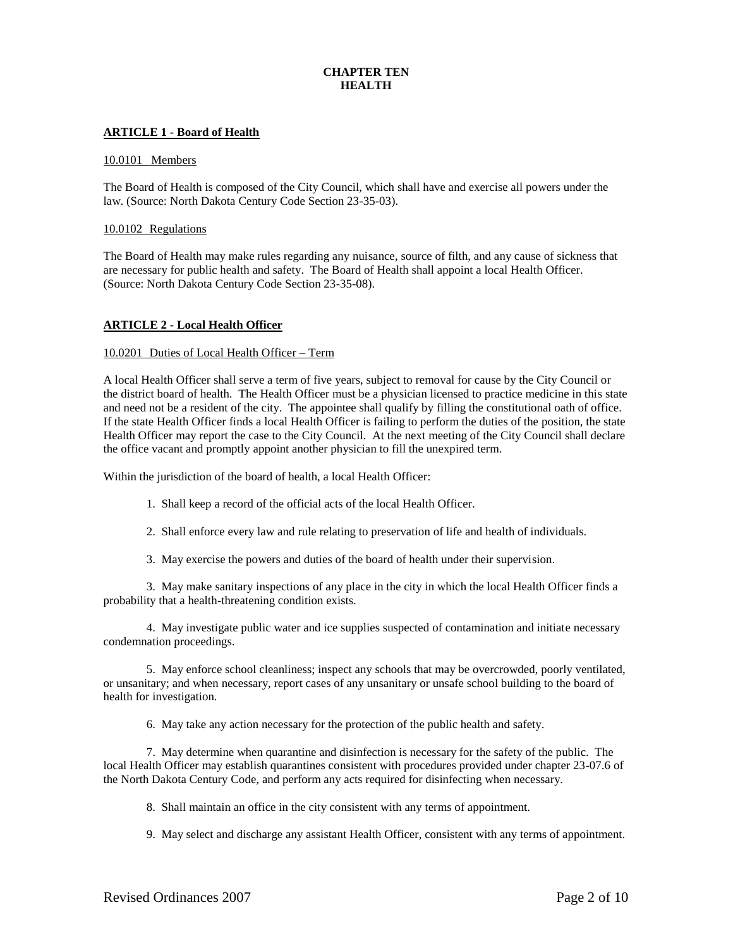# **CHAPTER TEN HEALTH**

## **ARTICLE 1 - Board of Health**

#### 10.0101 Members

The Board of Health is composed of the City Council, which shall have and exercise all powers under the law. (Source: North Dakota Century Code Section 23-35-03).

#### 10.0102 Regulations

The Board of Health may make rules regarding any nuisance, source of filth, and any cause of sickness that are necessary for public health and safety. The Board of Health shall appoint a local Health Officer. (Source: North Dakota Century Code Section 23-35-08).

### **ARTICLE 2 - Local Health Officer**

#### 10.0201 Duties of Local Health Officer – Term

A local Health Officer shall serve a term of five years, subject to removal for cause by the City Council or the district board of health. The Health Officer must be a physician licensed to practice medicine in this state and need not be a resident of the city. The appointee shall qualify by filling the constitutional oath of office. If the state Health Officer finds a local Health Officer is failing to perform the duties of the position, the state Health Officer may report the case to the City Council. At the next meeting of the City Council shall declare the office vacant and promptly appoint another physician to fill the unexpired term.

Within the jurisdiction of the board of health, a local Health Officer:

- 1. Shall keep a record of the official acts of the local Health Officer.
- 2. Shall enforce every law and rule relating to preservation of life and health of individuals.
- 3. May exercise the powers and duties of the board of health under their supervision.

3. May make sanitary inspections of any place in the city in which the local Health Officer finds a probability that a health-threatening condition exists.

4. May investigate public water and ice supplies suspected of contamination and initiate necessary condemnation proceedings.

5. May enforce school cleanliness; inspect any schools that may be overcrowded, poorly ventilated, or unsanitary; and when necessary, report cases of any unsanitary or unsafe school building to the board of health for investigation.

6. May take any action necessary for the protection of the public health and safety.

7. May determine when quarantine and disinfection is necessary for the safety of the public. The local Health Officer may establish quarantines consistent with procedures provided under chapter 23-07.6 of the North Dakota Century Code, and perform any acts required for disinfecting when necessary.

8. Shall maintain an office in the city consistent with any terms of appointment.

9. May select and discharge any assistant Health Officer, consistent with any terms of appointment.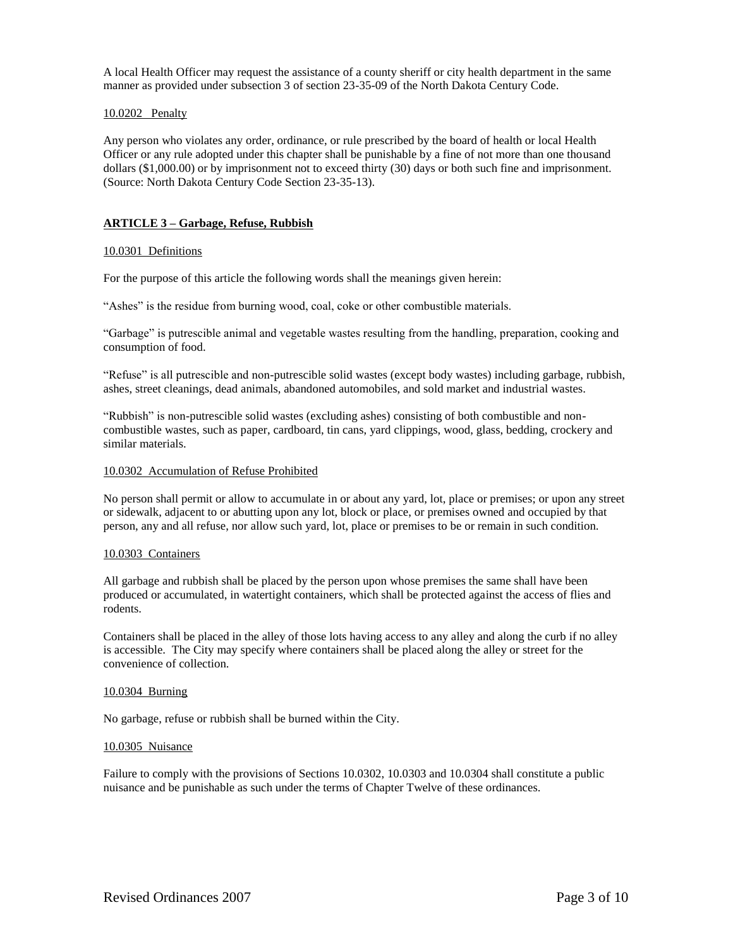A local Health Officer may request the assistance of a county sheriff or city health department in the same manner as provided under subsection 3 of section 23-35-09 of the North Dakota Century Code.

# 10.0202 Penalty

Any person who violates any order, ordinance, or rule prescribed by the board of health or local Health Officer or any rule adopted under this chapter shall be punishable by a fine of not more than one thousand dollars (\$1,000.00) or by imprisonment not to exceed thirty (30) days or both such fine and imprisonment. (Source: North Dakota Century Code Section 23-35-13).

# **ARTICLE 3 – Garbage, Refuse, Rubbish**

#### 10.0301 Definitions

For the purpose of this article the following words shall the meanings given herein:

"Ashes" is the residue from burning wood, coal, coke or other combustible materials.

"Garbage" is putrescible animal and vegetable wastes resulting from the handling, preparation, cooking and consumption of food.

"Refuse" is all putrescible and non-putrescible solid wastes (except body wastes) including garbage, rubbish, ashes, street cleanings, dead animals, abandoned automobiles, and sold market and industrial wastes.

"Rubbish" is non-putrescible solid wastes (excluding ashes) consisting of both combustible and noncombustible wastes, such as paper, cardboard, tin cans, yard clippings, wood, glass, bedding, crockery and similar materials.

### 10.0302 Accumulation of Refuse Prohibited

No person shall permit or allow to accumulate in or about any yard, lot, place or premises; or upon any street or sidewalk, adjacent to or abutting upon any lot, block or place, or premises owned and occupied by that person, any and all refuse, nor allow such yard, lot, place or premises to be or remain in such condition.

#### 10.0303 Containers

All garbage and rubbish shall be placed by the person upon whose premises the same shall have been produced or accumulated, in watertight containers, which shall be protected against the access of flies and rodents.

Containers shall be placed in the alley of those lots having access to any alley and along the curb if no alley is accessible. The City may specify where containers shall be placed along the alley or street for the convenience of collection.

#### 10.0304 Burning

No garbage, refuse or rubbish shall be burned within the City.

#### 10.0305 Nuisance

Failure to comply with the provisions of Sections 10.0302, 10.0303 and 10.0304 shall constitute a public nuisance and be punishable as such under the terms of Chapter Twelve of these ordinances.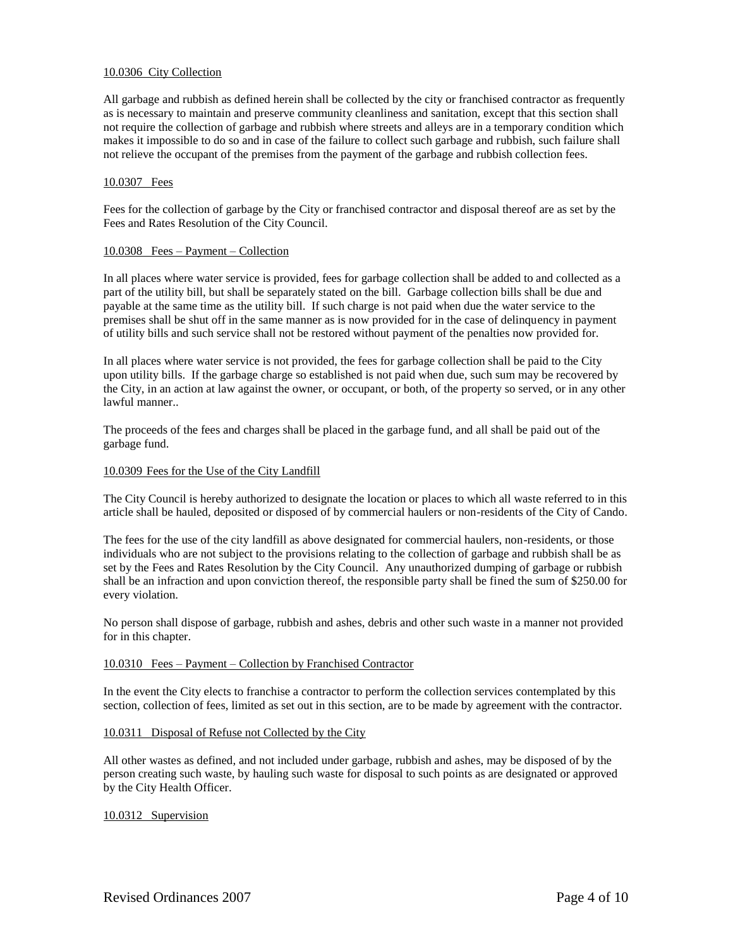### 10.0306 City Collection

All garbage and rubbish as defined herein shall be collected by the city or franchised contractor as frequently as is necessary to maintain and preserve community cleanliness and sanitation, except that this section shall not require the collection of garbage and rubbish where streets and alleys are in a temporary condition which makes it impossible to do so and in case of the failure to collect such garbage and rubbish, such failure shall not relieve the occupant of the premises from the payment of the garbage and rubbish collection fees.

### 10.0307 Fees

Fees for the collection of garbage by the City or franchised contractor and disposal thereof are as set by the Fees and Rates Resolution of the City Council.

#### 10.0308 Fees – Payment – Collection

In all places where water service is provided, fees for garbage collection shall be added to and collected as a part of the utility bill, but shall be separately stated on the bill. Garbage collection bills shall be due and payable at the same time as the utility bill. If such charge is not paid when due the water service to the premises shall be shut off in the same manner as is now provided for in the case of delinquency in payment of utility bills and such service shall not be restored without payment of the penalties now provided for.

In all places where water service is not provided, the fees for garbage collection shall be paid to the City upon utility bills. If the garbage charge so established is not paid when due, such sum may be recovered by the City, in an action at law against the owner, or occupant, or both, of the property so served, or in any other lawful manner..

The proceeds of the fees and charges shall be placed in the garbage fund, and all shall be paid out of the garbage fund.

#### 10.0309 Fees for the Use of the City Landfill

The City Council is hereby authorized to designate the location or places to which all waste referred to in this article shall be hauled, deposited or disposed of by commercial haulers or non-residents of the City of Cando.

The fees for the use of the city landfill as above designated for commercial haulers, non-residents, or those individuals who are not subject to the provisions relating to the collection of garbage and rubbish shall be as set by the Fees and Rates Resolution by the City Council. Any unauthorized dumping of garbage or rubbish shall be an infraction and upon conviction thereof, the responsible party shall be fined the sum of \$250.00 for every violation.

No person shall dispose of garbage, rubbish and ashes, debris and other such waste in a manner not provided for in this chapter.

### 10.0310 Fees – Payment – Collection by Franchised Contractor

In the event the City elects to franchise a contractor to perform the collection services contemplated by this section, collection of fees, limited as set out in this section, are to be made by agreement with the contractor.

#### 10.0311 Disposal of Refuse not Collected by the City

All other wastes as defined, and not included under garbage, rubbish and ashes, may be disposed of by the person creating such waste, by hauling such waste for disposal to such points as are designated or approved by the City Health Officer.

#### 10.0312 Supervision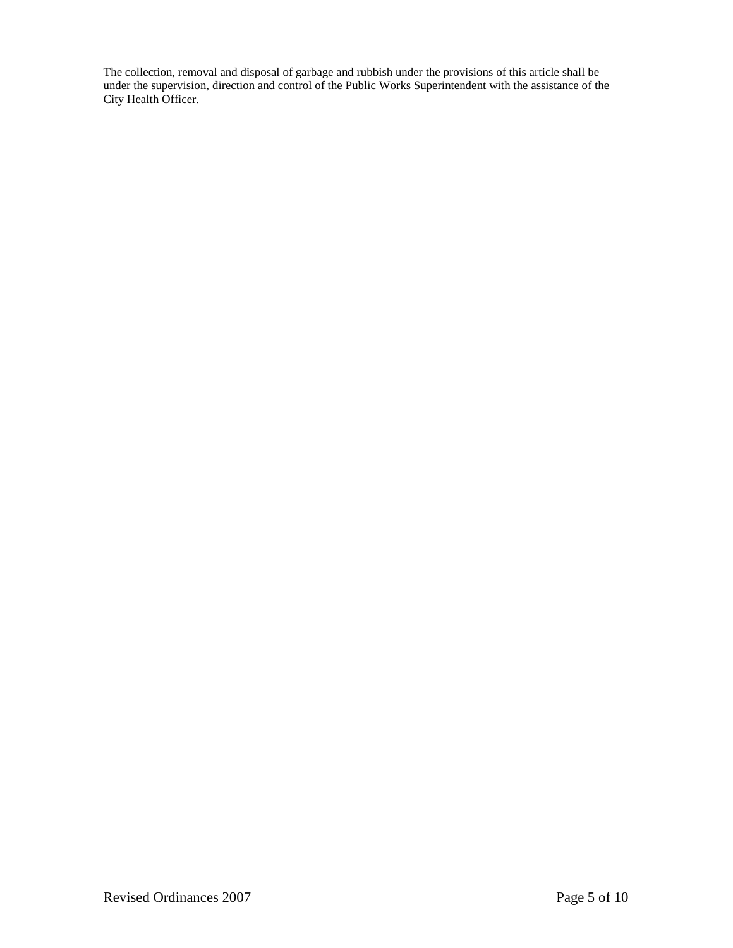The collection, removal and disposal of garbage and rubbish under the provisions of this article shall be under the supervision, direction and control of the Public Works Superintendent with the assistance of the City Health Officer.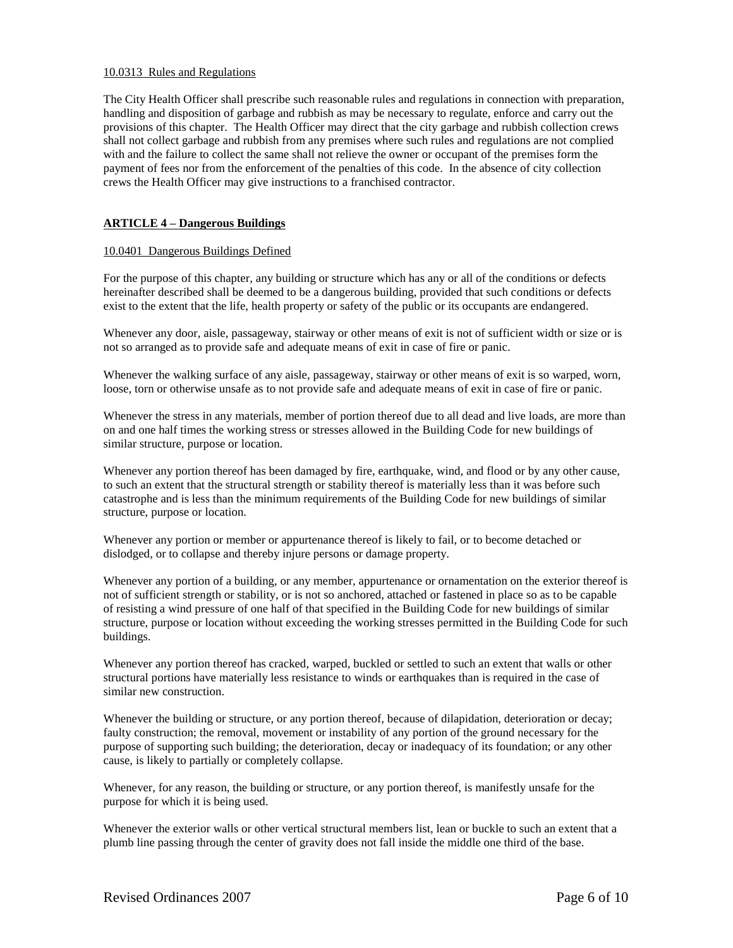### 10.0313 Rules and Regulations

The City Health Officer shall prescribe such reasonable rules and regulations in connection with preparation, handling and disposition of garbage and rubbish as may be necessary to regulate, enforce and carry out the provisions of this chapter. The Health Officer may direct that the city garbage and rubbish collection crews shall not collect garbage and rubbish from any premises where such rules and regulations are not complied with and the failure to collect the same shall not relieve the owner or occupant of the premises form the payment of fees nor from the enforcement of the penalties of this code. In the absence of city collection crews the Health Officer may give instructions to a franchised contractor.

# **ARTICLE 4 – Dangerous Buildings**

### 10.0401 Dangerous Buildings Defined

For the purpose of this chapter, any building or structure which has any or all of the conditions or defects hereinafter described shall be deemed to be a dangerous building, provided that such conditions or defects exist to the extent that the life, health property or safety of the public or its occupants are endangered.

Whenever any door, aisle, passageway, stairway or other means of exit is not of sufficient width or size or is not so arranged as to provide safe and adequate means of exit in case of fire or panic.

Whenever the walking surface of any aisle, passageway, stairway or other means of exit is so warped, worn, loose, torn or otherwise unsafe as to not provide safe and adequate means of exit in case of fire or panic.

Whenever the stress in any materials, member of portion thereof due to all dead and live loads, are more than on and one half times the working stress or stresses allowed in the Building Code for new buildings of similar structure, purpose or location.

Whenever any portion thereof has been damaged by fire, earthquake, wind, and flood or by any other cause, to such an extent that the structural strength or stability thereof is materially less than it was before such catastrophe and is less than the minimum requirements of the Building Code for new buildings of similar structure, purpose or location.

Whenever any portion or member or appurtenance thereof is likely to fail, or to become detached or dislodged, or to collapse and thereby injure persons or damage property.

Whenever any portion of a building, or any member, appurtenance or ornamentation on the exterior thereof is not of sufficient strength or stability, or is not so anchored, attached or fastened in place so as to be capable of resisting a wind pressure of one half of that specified in the Building Code for new buildings of similar structure, purpose or location without exceeding the working stresses permitted in the Building Code for such buildings.

Whenever any portion thereof has cracked, warped, buckled or settled to such an extent that walls or other structural portions have materially less resistance to winds or earthquakes than is required in the case of similar new construction.

Whenever the building or structure, or any portion thereof, because of dilapidation, deterioration or decay; faulty construction; the removal, movement or instability of any portion of the ground necessary for the purpose of supporting such building; the deterioration, decay or inadequacy of its foundation; or any other cause, is likely to partially or completely collapse.

Whenever, for any reason, the building or structure, or any portion thereof, is manifestly unsafe for the purpose for which it is being used.

Whenever the exterior walls or other vertical structural members list, lean or buckle to such an extent that a plumb line passing through the center of gravity does not fall inside the middle one third of the base.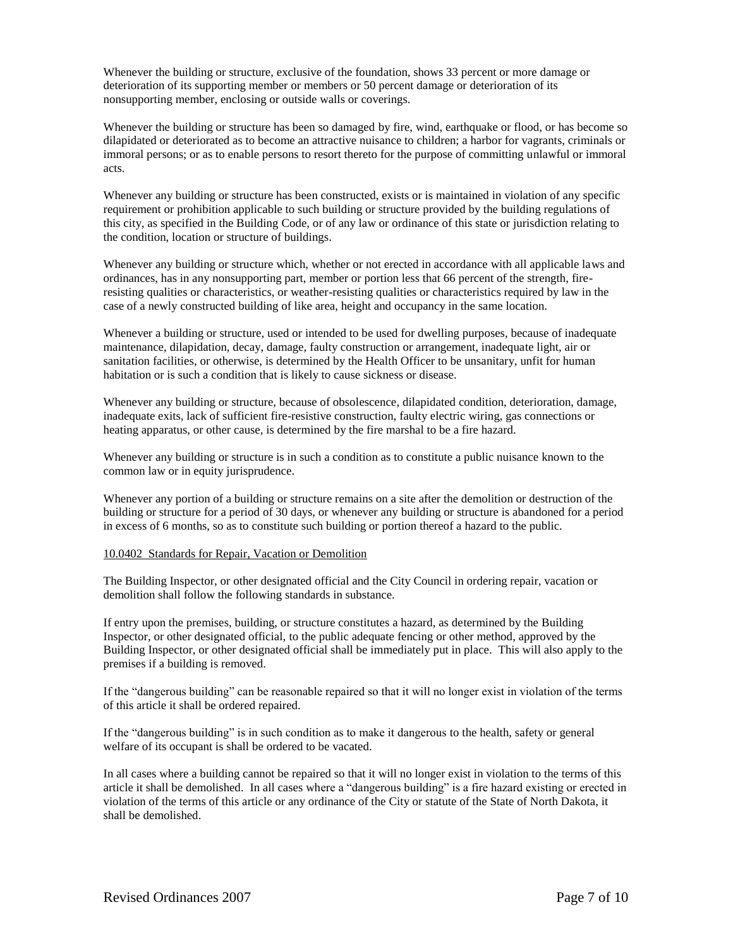Whenever the building or structure, exclusive of the foundation, shows 33 percent or more damage or deterioration of its supporting member or members or 50 percent damage or deterioration of its nonsupporting member, enclosing or outside walls or coverings.

Whenever the building or structure has been so damaged by fire, wind, earthquake or flood, or has become so dilapidated or deteriorated as to become an attractive nuisance to children; a harbor for vagrants, criminals or immoral persons; or as to enable persons to resort thereto for the purpose of committing unlawful or immoral acts.

Whenever any building or structure has been constructed, exists or is maintained in violation of any specific requirement or prohibition applicable to such building or structure provided by the building regulations of this city, as specified in the Building Code, or of any law or ordinance of this state or jurisdiction relating to the condition, location or structure of buildings.

Whenever any building or structure which, whether or not erected in accordance with all applicable laws and ordinances, has in any nonsupporting part, member or portion less that 66 percent of the strength, fireresisting qualities or characteristics, or weather-resisting qualities or characteristics required by law in the case of a newly constructed building of like area, height and occupancy in the same location.

Whenever a building or structure, used or intended to be used for dwelling purposes, because of inadequate maintenance, dilapidation, decay, damage, faulty construction or arrangement, inadequate light, air or sanitation facilities, or otherwise, is determined by the Health Officer to be unsanitary, unfit for human habitation or is such a condition that is likely to cause sickness or disease.

Whenever any building or structure, because of obsolescence, dilapidated condition, deterioration, damage, inadequate exits, lack of sufficient fire-resistive construction, faulty electric wiring, gas connections or heating apparatus, or other cause, is determined by the fire marshal to be a fire hazard.

Whenever any building or structure is in such a condition as to constitute a public nuisance known to the common law or in equity jurisprudence.

Whenever any portion of a building or structure remains on a site after the demolition or destruction of the building or structure for a period of 30 days, or whenever any building or structure is abandoned for a period in excess of 6 months, so as to constitute such building or portion thereof a hazard to the public.

#### 10.0402 Standards for Repair, Vacation or Demolition

The Building Inspector, or other designated official and the City Council in ordering repair, vacation or demolition shall follow the following standards in substance.

If entry upon the premises, building, or structure constitutes a hazard, as determined by the Building Inspector, or other designated official, to the public adequate fencing or other method, approved by the Building Inspector, or other designated official shall be immediately put in place. This will also apply to the premises if a building is removed.

If the "dangerous building" can be reasonable repaired so that it will no longer exist in violation of the terms of this article it shall be ordered repaired.

If the "dangerous building" is in such condition as to make it dangerous to the health, safety or general welfare of its occupant is shall be ordered to be vacated.

In all cases where a building cannot be repaired so that it will no longer exist in violation to the terms of this article it shall be demolished. In all cases where a "dangerous building" is a fire hazard existing or erected in violation of the terms of this article or any ordinance of the City or statute of the State of North Dakota, it shall be demolished.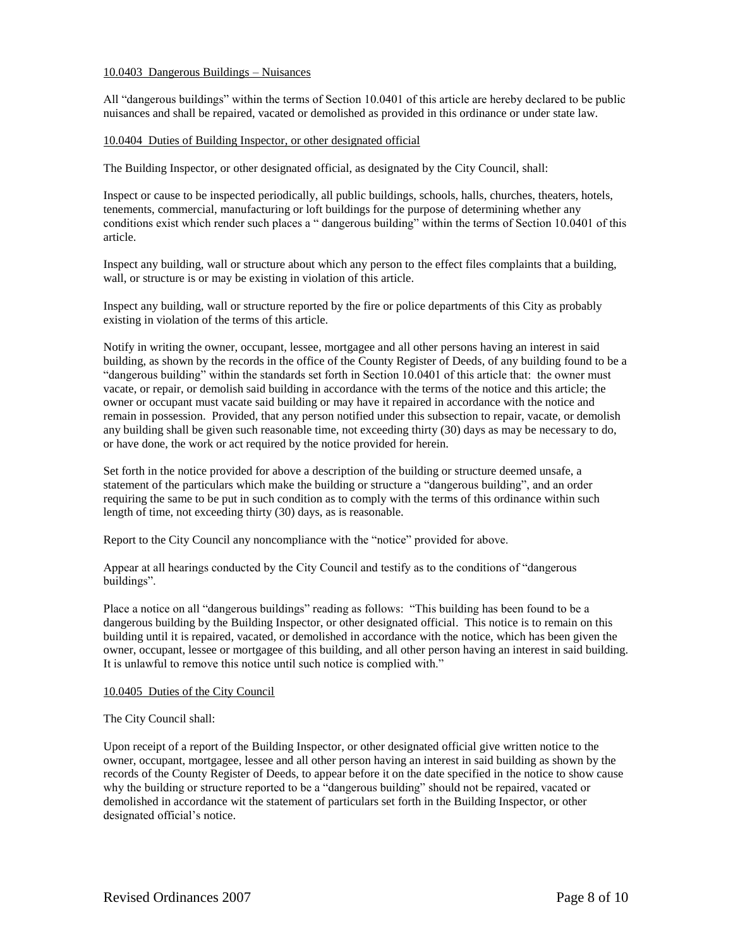### 10.0403 Dangerous Buildings – Nuisances

All "dangerous buildings" within the terms of Section 10.0401 of this article are hereby declared to be public nuisances and shall be repaired, vacated or demolished as provided in this ordinance or under state law.

### 10.0404 Duties of Building Inspector, or other designated official

The Building Inspector, or other designated official, as designated by the City Council, shall:

Inspect or cause to be inspected periodically, all public buildings, schools, halls, churches, theaters, hotels, tenements, commercial, manufacturing or loft buildings for the purpose of determining whether any conditions exist which render such places a " dangerous building" within the terms of Section 10.0401 of this article.

Inspect any building, wall or structure about which any person to the effect files complaints that a building, wall, or structure is or may be existing in violation of this article.

Inspect any building, wall or structure reported by the fire or police departments of this City as probably existing in violation of the terms of this article.

Notify in writing the owner, occupant, lessee, mortgagee and all other persons having an interest in said building, as shown by the records in the office of the County Register of Deeds, of any building found to be a "dangerous building" within the standards set forth in Section 10.0401 of this article that: the owner must vacate, or repair, or demolish said building in accordance with the terms of the notice and this article; the owner or occupant must vacate said building or may have it repaired in accordance with the notice and remain in possession. Provided, that any person notified under this subsection to repair, vacate, or demolish any building shall be given such reasonable time, not exceeding thirty (30) days as may be necessary to do, or have done, the work or act required by the notice provided for herein.

Set forth in the notice provided for above a description of the building or structure deemed unsafe, a statement of the particulars which make the building or structure a "dangerous building", and an order requiring the same to be put in such condition as to comply with the terms of this ordinance within such length of time, not exceeding thirty (30) days, as is reasonable.

Report to the City Council any noncompliance with the "notice" provided for above.

Appear at all hearings conducted by the City Council and testify as to the conditions of "dangerous buildings".

Place a notice on all "dangerous buildings" reading as follows: "This building has been found to be a dangerous building by the Building Inspector, or other designated official. This notice is to remain on this building until it is repaired, vacated, or demolished in accordance with the notice, which has been given the owner, occupant, lessee or mortgagee of this building, and all other person having an interest in said building. It is unlawful to remove this notice until such notice is complied with."

#### 10.0405 Duties of the City Council

#### The City Council shall:

Upon receipt of a report of the Building Inspector, or other designated official give written notice to the owner, occupant, mortgagee, lessee and all other person having an interest in said building as shown by the records of the County Register of Deeds, to appear before it on the date specified in the notice to show cause why the building or structure reported to be a "dangerous building" should not be repaired, vacated or demolished in accordance wit the statement of particulars set forth in the Building Inspector, or other designated official's notice.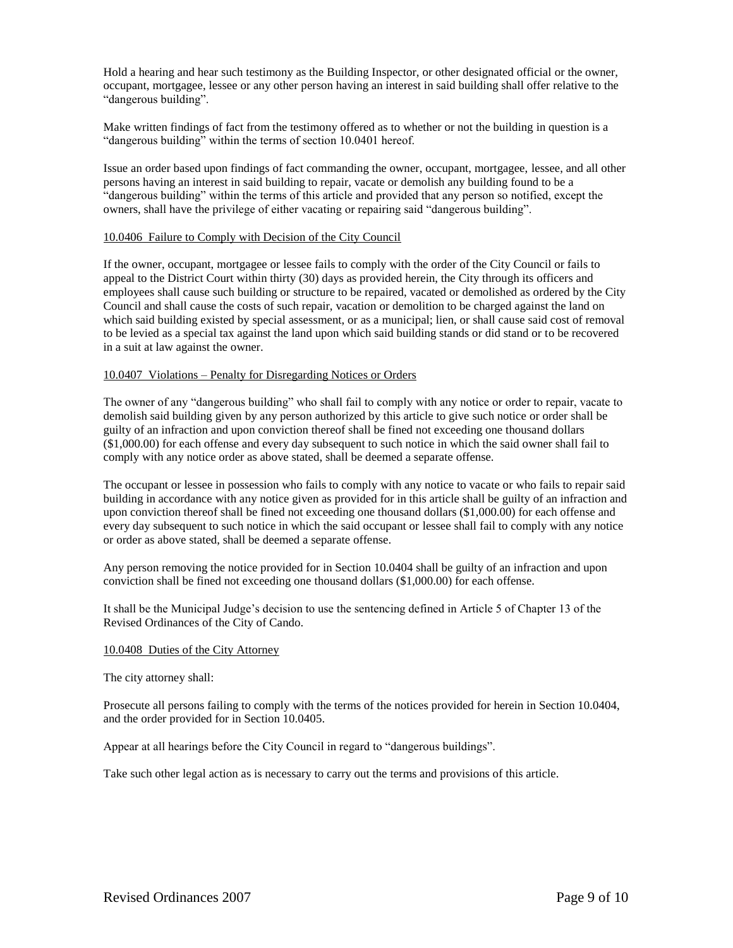Hold a hearing and hear such testimony as the Building Inspector, or other designated official or the owner, occupant, mortgagee, lessee or any other person having an interest in said building shall offer relative to the "dangerous building".

Make written findings of fact from the testimony offered as to whether or not the building in question is a "dangerous building" within the terms of section 10.0401 hereof.

Issue an order based upon findings of fact commanding the owner, occupant, mortgagee, lessee, and all other persons having an interest in said building to repair, vacate or demolish any building found to be a "dangerous building" within the terms of this article and provided that any person so notified, except the owners, shall have the privilege of either vacating or repairing said "dangerous building".

#### 10.0406 Failure to Comply with Decision of the City Council

If the owner, occupant, mortgagee or lessee fails to comply with the order of the City Council or fails to appeal to the District Court within thirty (30) days as provided herein, the City through its officers and employees shall cause such building or structure to be repaired, vacated or demolished as ordered by the City Council and shall cause the costs of such repair, vacation or demolition to be charged against the land on which said building existed by special assessment, or as a municipal; lien, or shall cause said cost of removal to be levied as a special tax against the land upon which said building stands or did stand or to be recovered in a suit at law against the owner.

### 10.0407 Violations – Penalty for Disregarding Notices or Orders

The owner of any "dangerous building" who shall fail to comply with any notice or order to repair, vacate to demolish said building given by any person authorized by this article to give such notice or order shall be guilty of an infraction and upon conviction thereof shall be fined not exceeding one thousand dollars (\$1,000.00) for each offense and every day subsequent to such notice in which the said owner shall fail to comply with any notice order as above stated, shall be deemed a separate offense.

The occupant or lessee in possession who fails to comply with any notice to vacate or who fails to repair said building in accordance with any notice given as provided for in this article shall be guilty of an infraction and upon conviction thereof shall be fined not exceeding one thousand dollars (\$1,000.00) for each offense and every day subsequent to such notice in which the said occupant or lessee shall fail to comply with any notice or order as above stated, shall be deemed a separate offense.

Any person removing the notice provided for in Section 10.0404 shall be guilty of an infraction and upon conviction shall be fined not exceeding one thousand dollars (\$1,000.00) for each offense.

It shall be the Municipal Judge's decision to use the sentencing defined in Article 5 of Chapter 13 of the Revised Ordinances of the City of Cando.

#### 10.0408 Duties of the City Attorney

The city attorney shall:

Prosecute all persons failing to comply with the terms of the notices provided for herein in Section 10.0404, and the order provided for in Section 10.0405.

Appear at all hearings before the City Council in regard to "dangerous buildings".

Take such other legal action as is necessary to carry out the terms and provisions of this article.